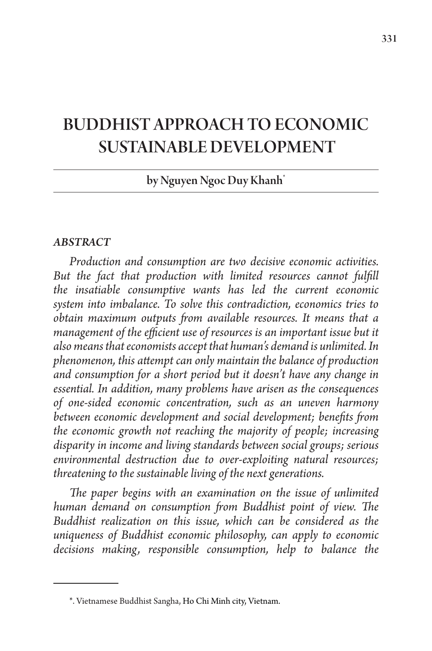# BUDDHIST APPROACH TO ECONOMIC SUSTAINABLE DEVELOPMENT

# by Nguyen Ngoc Duy Khanh\*

#### *ABSTRACT*

*Production and consumption are two decisive economic activities.*  But the fact that production with limited resources cannot fulfill *the insatiable consumptive wants has led the current economic system into imbalance. To solve this contradiction, economics tries to obtain maximum outputs from available resources. It means that a management of the efficient use of resources is an important issue but it also means that economists accept that human's demand is unlimited. In phenomenon, this attempt can only maintain the balance of production and consumption for a short period but it doesn't have any change in essential. In addition, many problems have arisen as the consequences of one-sided economic concentration, such as an uneven harmony between economic development and social development; benefits from the economic growth not reaching the majority of people; increasing disparity in income and living standards between social groups; serious environmental destruction due to over-exploiting natural resources; threatening to the sustainable living of the next generations.*

*The paper begins with an examination on the issue of unlimited human demand on consumption from Buddhist point of view. The Buddhist realization on this issue, which can be considered as the uniqueness of Buddhist economic philosophy, can apply to economic decisions making, responsible consumption, help to balance the* 

<sup>\*.</sup> Vietnamese Buddhist Sangha, Ho Chi Minh city, Vietnam.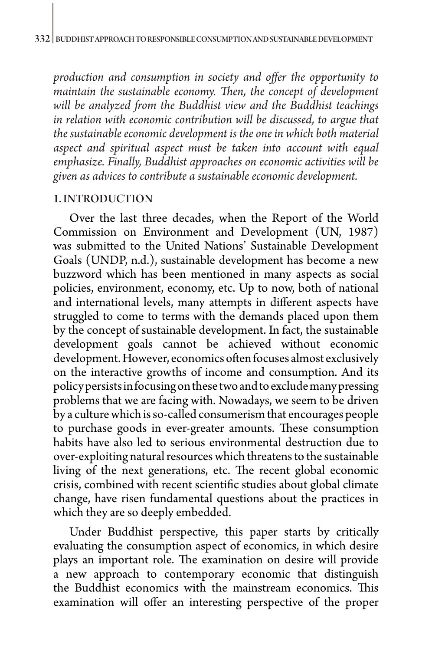*production and consumption in society and offer the opportunity to maintain the sustainable economy. Then, the concept of development will be analyzed from the Buddhist view and the Buddhist teachings in relation with economic contribution will be discussed, to argue that the sustainable economic development is the one in which both material aspect and spiritual aspect must be taken into account with equal emphasize. Finally, Buddhist approaches on economic activities will be given as advices to contribute a sustainable economic development.* 

#### 1. INTRODUCTION

Over the last three decades, when the Report of the World Commission on Environment and Development (UN, 1987) was submitted to the United Nations' Sustainable Development Goals (UNDP, n.d.), sustainable development has become a new buzzword which has been mentioned in many aspects as social policies, environment, economy, etc. Up to now, both of national and international levels, many attempts in different aspects have struggled to come to terms with the demands placed upon them by the concept of sustainable development. In fact, the sustainable development goals cannot be achieved without economic development. However, economics often focuses almost exclusively on the interactive growths of income and consumption. And its policy persists in focusing on these two and to exclude many pressing problems that we are facing with. Nowadays, we seem to be driven by a culture which is so-called consumerism that encourages people to purchase goods in ever-greater amounts. These consumption habits have also led to serious environmental destruction due to over-exploiting natural resources which threatens to the sustainable living of the next generations, etc. The recent global economic crisis, combined with recent scientific studies about global climate change, have risen fundamental questions about the practices in which they are so deeply embedded.

Under Buddhist perspective, this paper starts by critically evaluating the consumption aspect of economics, in which desire plays an important role. The examination on desire will provide a new approach to contemporary economic that distinguish the Buddhist economics with the mainstream economics. This examination will offer an interesting perspective of the proper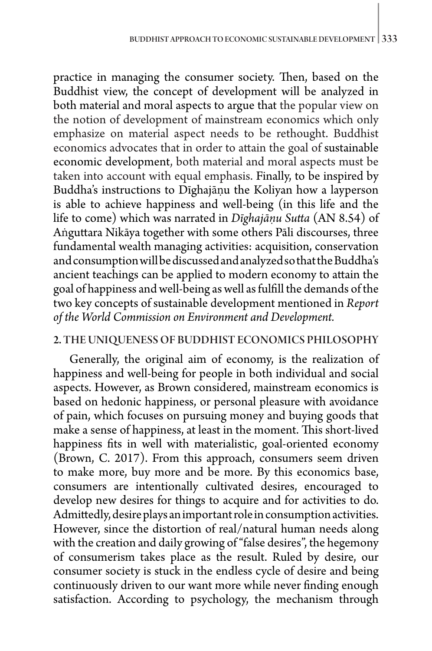practice in managing the consumer society. Then, based on the Buddhist view, the concept of development will be analyzed in both material and moral aspects to argue that the popular view on the notion of development of mainstream economics which only emphasize on material aspect needs to be rethought. Buddhist economics advocates that in order to attain the goal of sustainable economic development, both material and moral aspects must be taken into account with equal emphasis. Finally, to be inspired by Buddha's instructions to Dīghajāṇu the Koliyan how a layperson is able to achieve happiness and well-being (in this life and the life to come) which was narrated in *Dīghajāṇu Sutta* (AN 8.54) of Aṅguttara Nikāya together with some others Pāli discourses, three fundamental wealth managing activities: acquisition, conservation and consumption will be discussed and analyzed so that the Buddha's ancient teachings can be applied to modern economy to attain the goal of happiness and well-being as well as fulfill the demands of the two key concepts of sustainable development mentioned in *Report of the World Commission on Environment and Development.*

### 2. THE UNIQUENESS OF BUDDHIST ECONOMICS PHILOSOPHY

Generally, the original aim of economy, is the realization of happiness and well-being for people in both individual and social aspects. However, as Brown considered, mainstream economics is based on hedonic happiness, or personal pleasure with avoidance of pain, which focuses on pursuing money and buying goods that make a sense of happiness, at least in the moment. This short-lived happiness fits in well with materialistic, goal-oriented economy (Brown, C. 2017). From this approach, consumers seem driven to make more, buy more and be more. By this economics base, consumers are intentionally cultivated desires, encouraged to develop new desires for things to acquire and for activities to do. Admittedly, desire plays an important role in consumption activities. However, since the distortion of real/natural human needs along with the creation and daily growing of "false desires", the hegemony of consumerism takes place as the result. Ruled by desire, our consumer society is stuck in the endless cycle of desire and being continuously driven to our want more while never finding enough satisfaction. According to psychology, the mechanism through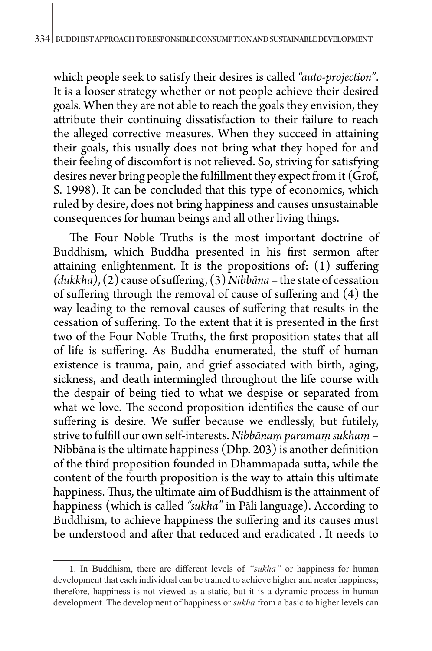which people seek to satisfy their desires is called *"auto-projection"*. It is a looser strategy whether or not people achieve their desired goals. When they are not able to reach the goals they envision, they attribute their continuing dissatisfaction to their failure to reach the alleged corrective measures. When they succeed in attaining their goals, this usually does not bring what they hoped for and their feeling of discomfort is not relieved. So, striving for satisfying desires never bring people the fulfillment they expect from it (Grof, S. 1998). It can be concluded that this type of economics, which ruled by desire, does not bring happiness and causes unsustainable consequences for human beings and all other living things.

The Four Noble Truths is the most important doctrine of Buddhism, which Buddha presented in his first sermon after attaining enlightenment. It is the propositions of: (1) suffering *(dukkha)*, (2) cause of suffering, (3) *Nibbāna* – the state of cessation of suffering through the removal of cause of suffering and (4) the way leading to the removal causes of suffering that results in the cessation of suffering. To the extent that it is presented in the first two of the Four Noble Truths, the first proposition states that all of life is suffering. As Buddha enumerated, the stuff of human existence is trauma, pain, and grief associated with birth, aging, sickness, and death intermingled throughout the life course with the despair of being tied to what we despise or separated from what we love. The second proposition identifies the cause of our suffering is desire. We suffer because we endlessly, but futilely, strive to fulfill our own self-interests. *Nibbānaṃ paramaṃ sukhaṃ* – Nibbāna is the ultimate happiness (Dhp. 203) is another definition of the third proposition founded in Dhammapada sutta, while the content of the fourth proposition is the way to attain this ultimate happiness. Thus, the ultimate aim of Buddhism is the attainment of happiness (which is called *"sukha"* in Pāli language). According to Buddhism, to achieve happiness the suffering and its causes must be understood and after that reduced and eradicated<sup>1</sup>. It needs to

<sup>1</sup>. In Buddhism, there are different levels of *"sukha"* or happiness for human development that each individual can be trained to achieve higher and neater happiness; therefore, happiness is not viewed as a static, but it is a dynamic process in human development. The development of happiness or *sukha* from a basic to higher levels can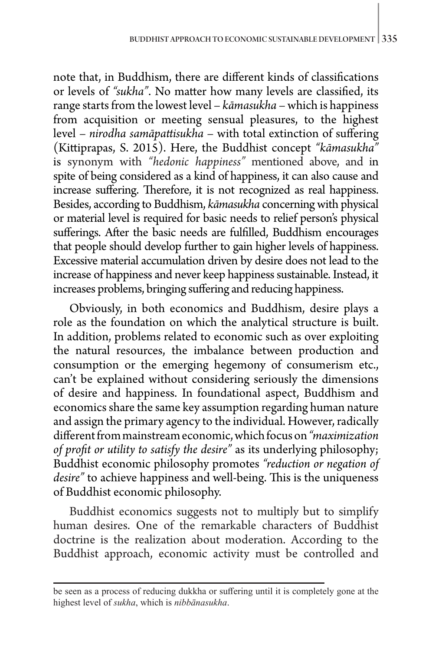note that, in Buddhism, there are different kinds of classifications or levels of *"sukha"*. No matter how many levels are classified, its range starts from the lowest level – *kāmasukha* – which is happiness from acquisition or meeting sensual pleasures, to the highest level – *nirodha samāpattisukha* – with total extinction of suffering (Kittiprapas, S. 2015). Here, the Buddhist concept *"kāmasukha"* is synonym with *"hedonic happiness"* mentioned above, and in spite of being considered as a kind of happiness, it can also cause and increase suffering. Therefore, it is not recognized as real happiness. Besides, according to Buddhism, *kāmasukha* concerning with physical or material level is required for basic needs to relief person's physical sufferings. After the basic needs are fulfilled, Buddhism encourages that people should develop further to gain higher levels of happiness. Excessive material accumulation driven by desire does not lead to the increase of happiness and never keep happiness sustainable. Instead, it increases problems, bringing suffering and reducing happiness.

Obviously, in both economics and Buddhism, desire plays a role as the foundation on which the analytical structure is built. In addition, problems related to economic such as over exploiting the natural resources, the imbalance between production and consumption or the emerging hegemony of consumerism etc., can't be explained without considering seriously the dimensions of desire and happiness. In foundational aspect, Buddhism and economics share the same key assumption regarding human nature and assign the primary agency to the individual. However, radically different from mainstream economic, which focus on *"maximization of profit or utility to satisfy the desire"* as its underlying philosophy; Buddhist economic philosophy promotes *"reduction or negation of desire"* to achieve happiness and well-being. This is the uniqueness of Buddhist economic philosophy.

Buddhist economics suggests not to multiply but to simplify human desires. One of the remarkable characters of Buddhist doctrine is the realization about moderation. According to the Buddhist approach, economic activity must be controlled and

be seen as a process of reducing dukkha or suffering until it is completely gone at the highest level of *sukha*, which is *nibbānasukha*.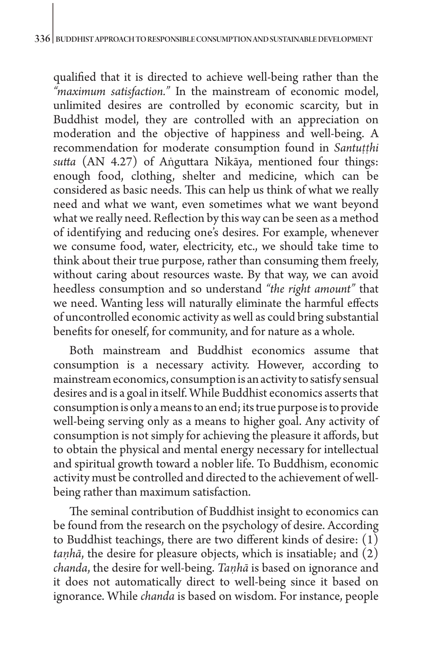qualified that it is directed to achieve well-being rather than the *"maximum satisfaction."* In the mainstream of economic model, unlimited desires are controlled by economic scarcity, but in Buddhist model, they are controlled with an appreciation on moderation and the objective of happiness and well-being. A recommendation for moderate consumption found in *Santutthi sutta* (AN 4.27) of Aṅguttara Nikāya, mentioned four things: enough food, clothing, shelter and medicine, which can be considered as basic needs. This can help us think of what we really need and what we want, even sometimes what we want beyond what we really need. Reflection by this way can be seen as a method of identifying and reducing one's desires. For example, whenever we consume food, water, electricity, etc., we should take time to think about their true purpose, rather than consuming them freely, without caring about resources waste. By that way, we can avoid heedless consumption and so understand *"the right amount"* that we need. Wanting less will naturally eliminate the harmful effects of uncontrolled economic activity as well as could bring substantial benefits for oneself, for community, and for nature as a whole.

Both mainstream and Buddhist economics assume that consumption is a necessary activity. However, according to mainstream economics, consumption is an activity to satisfy sensual desires and is a goal in itself. While Buddhist economics asserts that consumption is only a means to an end; its true purpose is to provide well-being serving only as a means to higher goal. Any activity of consumption is not simply for achieving the pleasure it affords, but to obtain the physical and mental energy necessary for intellectual and spiritual growth toward a nobler life. To Buddhism, economic activity must be controlled and directed to the achievement of wellbeing rather than maximum satisfaction.

The seminal contribution of Buddhist insight to economics can be found from the research on the psychology of desire. According to Buddhist teachings, there are two different kinds of desire:  $(1)$ *taṇhā*, the desire for pleasure objects, which is insatiable; and (2) *chanda*, the desire for well-being. *Taṇhā* is based on ignorance and it does not automatically direct to well-being since it based on ignorance. While *chanda* is based on wisdom. For instance, people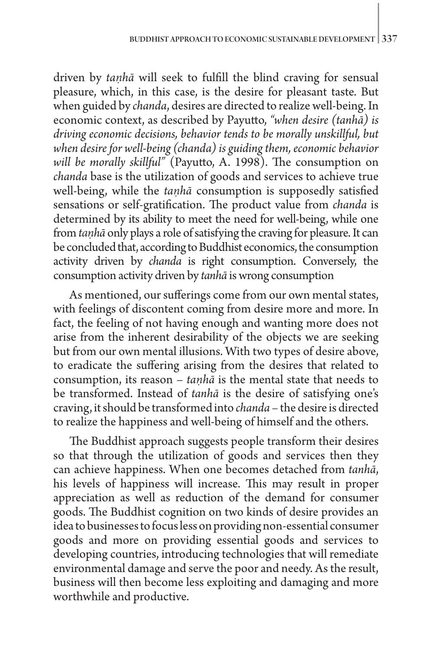driven by *taṇhā* will seek to fulfill the blind craving for sensual pleasure, which, in this case, is the desire for pleasant taste. But when guided by *chanda*, desires are directed to realize well-being. In economic context, as described by Payutto, *"when desire (tanhā) is driving economic decisions, behavior tends to be morally unskillful, but when desire for well-being (chanda) is guiding them, economic behavior will be morally skillful"* (Payutto, A. 1998). The consumption on *chanda* base is the utilization of goods and services to achieve true well-being, while the *taṇhā* consumption is supposedly satisfied sensations or self-gratification. The product value from *chanda* is determined by its ability to meet the need for well-being, while one from *taṇhā* only plays a role of satisfying the craving for pleasure. It can be concluded that, according to Buddhist economics, the consumption activity driven by *chanda* is right consumption. Conversely, the consumption activity driven by *tanhā* is wrong consumption

As mentioned, our sufferings come from our own mental states, with feelings of discontent coming from desire more and more. In fact, the feeling of not having enough and wanting more does not arise from the inherent desirability of the objects we are seeking but from our own mental illusions. With two types of desire above, to eradicate the suffering arising from the desires that related to consumption, its reason – *taṇhā* is the mental state that needs to be transformed. Instead of *tanhā* is the desire of satisfying one's craving, it should be transformed into *chanda –* the desire is directed to realize the happiness and well-being of himself and the others.

The Buddhist approach suggests people transform their desires so that through the utilization of goods and services then they can achieve happiness. When one becomes detached from *tanhā*, his levels of happiness will increase. This may result in proper appreciation as well as reduction of the demand for consumer goods. The Buddhist cognition on two kinds of desire provides an idea to businesses to focus less on providing non-essential consumer goods and more on providing essential goods and services to developing countries, introducing technologies that will remediate environmental damage and serve the poor and needy. As the result, business will then become less exploiting and damaging and more worthwhile and productive.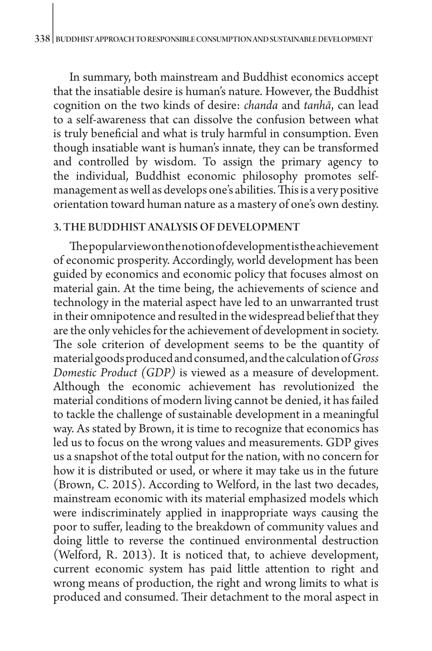In summary, both mainstream and Buddhist economics accept that the insatiable desire is human's nature. However, the Buddhist cognition on the two kinds of desire: *chanda* and *tanhā*, can lead to a self-awareness that can dissolve the confusion between what is truly beneficial and what is truly harmful in consumption. Even though insatiable want is human's innate, they can be transformed and controlled by wisdom. To assign the primary agency to the individual, Buddhist economic philosophy promotes selfmanagement as well as develops one's abilities. This is a very positive orientation toward human nature as a mastery of one's own destiny.

## 3. THE BUDDHIST ANALYSIS OF DEVELOPMENT

The popular view on the notion of development is the achievement of economic prosperity. Accordingly, world development has been guided by economics and economic policy that focuses almost on material gain. At the time being, the achievements of science and technology in the material aspect have led to an unwarranted trust in their omnipotence and resulted in the widespread belief that they are the only vehicles for the achievement of development in society. The sole criterion of development seems to be the quantity of material goods produced and consumed, and the calculation of *Gross Domestic Product (GDP)* is viewed as a measure of development. Although the economic achievement has revolutionized the material conditions of modern living cannot be denied, it has failed to tackle the challenge of sustainable development in a meaningful way. As stated by Brown, it is time to recognize that economics has led us to focus on the wrong values and measurements. GDP gives us a snapshot of the total output for the nation, with no concern for how it is distributed or used, or where it may take us in the future (Brown, C. 2015). According to Welford, in the last two decades, mainstream economic with its material emphasized models which were indiscriminately applied in inappropriate ways causing the poor to suffer, leading to the breakdown of community values and doing little to reverse the continued environmental destruction (Welford, R. 2013). It is noticed that, to achieve development, current economic system has paid little attention to right and wrong means of production, the right and wrong limits to what is produced and consumed. Their detachment to the moral aspect in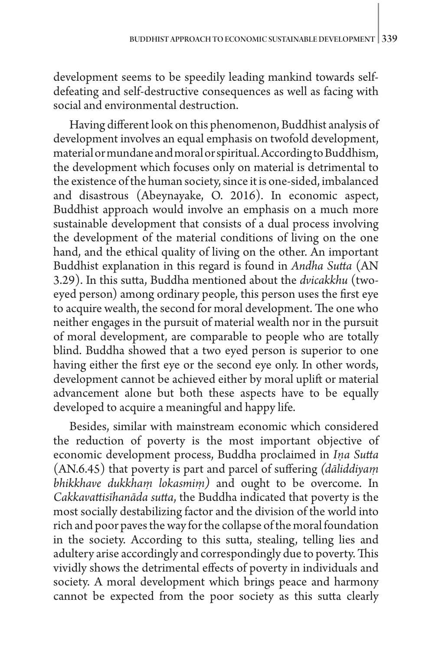development seems to be speedily leading mankind towards selfdefeating and self-destructive consequences as well as facing with social and environmental destruction.

Having different look on this phenomenon, Buddhist analysis of development involves an equal emphasis on twofold development, material or mundane and moral or spiritual. According to Buddhism, the development which focuses only on material is detrimental to the existence of the human society, since it is one-sided, imbalanced and disastrous (Abeynayake, O. 2016). In economic aspect, Buddhist approach would involve an emphasis on a much more sustainable development that consists of a dual process involving the development of the material conditions of living on the one hand, and the ethical quality of living on the other. An important Buddhist explanation in this regard is found in *Andha Sutta* (AN 3.29). In this sutta, Buddha mentioned about the *dvicakkhu* (twoeyed person) among ordinary people, this person uses the first eye to acquire wealth, the second for moral development. The one who neither engages in the pursuit of material wealth nor in the pursuit of moral development, are comparable to people who are totally blind. Buddha showed that a two eyed person is superior to one having either the first eye or the second eye only. In other words, development cannot be achieved either by moral uplift or material advancement alone but both these aspects have to be equally developed to acquire a meaningful and happy life.

Besides, similar with mainstream economic which considered the reduction of poverty is the most important objective of economic development process, Buddha proclaimed in *Iṇa Sutta* (AN.6.45) that poverty is part and parcel of suffering *(dāliddiyaṃ bhikkhave dukkhaṃ lokasmiṃ)* and ought to be overcome. In *Cakkavattisīhanāda sutta*, the Buddha indicated that poverty is the most socially destabilizing factor and the division of the world into rich and poor paves the way for the collapse of the moral foundation in the society. According to this sutta, stealing, telling lies and adultery arise accordingly and correspondingly due to poverty. This vividly shows the detrimental effects of poverty in individuals and society. A moral development which brings peace and harmony cannot be expected from the poor society as this sutta clearly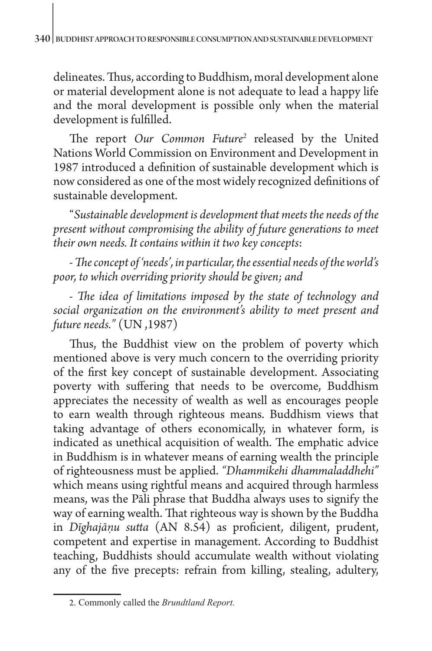delineates. Thus, according to Buddhism, moral development alone or material development alone is not adequate to lead a happy life and the moral development is possible only when the material development is fulfilled.

The report Our Common Future<sup>2</sup> released by the United Nations World Commission on Environment and Development in 1987 introduced a definition of sustainable development which is now considered as one of the most widely recognized definitions of sustainable development.

"*Sustainable development is development that meets the needs of the present without compromising the ability of future generations to meet their own needs. It contains within it two key concepts*:

*- The concept of 'needs', in particular, the essential needs of the world's poor, to which overriding priority should be given; and* 

*- The idea of limitations imposed by the state of technology and social organization on the environment's ability to meet present and future needs."* (UN ,1987)

Thus, the Buddhist view on the problem of poverty which mentioned above is very much concern to the overriding priority of the first key concept of sustainable development. Associating poverty with suffering that needs to be overcome, Buddhism appreciates the necessity of wealth as well as encourages people to earn wealth through righteous means. Buddhism views that taking advantage of others economically, in whatever form, is indicated as unethical acquisition of wealth. The emphatic advice in Buddhism is in whatever means of earning wealth the principle of righteousness must be applied. *"Dhammikehi dhammaladdhehi"* which means using rightful means and acquired through harmless means, was the Pāli phrase that Buddha always uses to signify the way of earning wealth. That righteous way is shown by the Buddha in *Dīghajāṇu sutta* (AN 8.54) as proficient, diligent, prudent, competent and expertise in management. According to Buddhist teaching, Buddhists should accumulate wealth without violating any of the five precepts: refrain from killing, stealing, adultery,

<sup>2</sup>. Commonly called the *Brundtland Report.*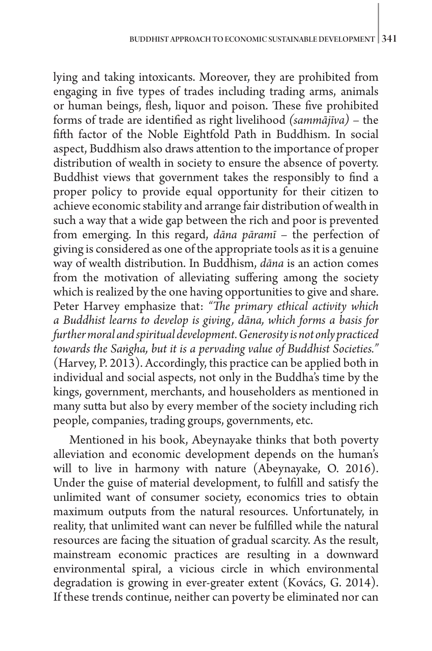lying and taking intoxicants. Moreover, they are prohibited from engaging in five types of trades including trading arms, animals or human beings, flesh, liquor and poison. These five prohibited forms of trade are identified as right livelihood *(sammājīva)* – the fifth factor of the Noble Eightfold Path in Buddhism. In social aspect, Buddhism also draws attention to the importance of proper distribution of wealth in society to ensure the absence of poverty. Buddhist views that government takes the responsibly to find a proper policy to provide equal opportunity for their citizen to achieve economic stability and arrange fair distribution of wealth in such a way that a wide gap between the rich and poor is prevented from emerging. In this regard, *dāna pāramī* – the perfection of giving is considered as one of the appropriate tools as it is a genuine way of wealth distribution. In Buddhism, *dāna* is an action comes from the motivation of alleviating suffering among the society which is realized by the one having opportunities to give and share. Peter Harvey emphasize that: *"The primary ethical activity which a Buddhist learns to develop is giving, dāna, which forms a basis for further moral and spiritual development. Generosity is not only practiced towards the Saṅgha, but it is a pervading value of Buddhist Societies."* (Harvey, P. 2013). Accordingly, this practice can be applied both in individual and social aspects, not only in the Buddha's time by the kings, government, merchants, and householders as mentioned in many sutta but also by every member of the society including rich people, companies, trading groups, governments, etc.

Mentioned in his book, Abeynayake thinks that both poverty alleviation and economic development depends on the human's will to live in harmony with nature (Abeynayake, O. 2016). Under the guise of material development, to fulfill and satisfy the unlimited want of consumer society, economics tries to obtain maximum outputs from the natural resources. Unfortunately, in reality, that unlimited want can never be fulfilled while the natural resources are facing the situation of gradual scarcity. As the result, mainstream economic practices are resulting in a downward environmental spiral, a vicious circle in which environmental degradation is growing in ever-greater extent (Kovács, G. 2014). If these trends continue, neither can poverty be eliminated nor can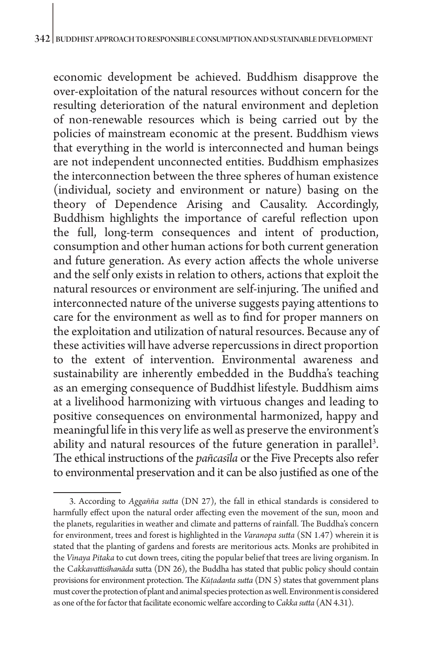economic development be achieved. Buddhism disapprove the over-exploitation of the natural resources without concern for the resulting deterioration of the natural environment and depletion of non-renewable resources which is being carried out by the policies of mainstream economic at the present. Buddhism views that everything in the world is interconnected and human beings are not independent unconnected entities. Buddhism emphasizes the interconnection between the three spheres of human existence (individual, society and environment or nature) basing on the theory of Dependence Arising and Causality. Accordingly, Buddhism highlights the importance of careful reflection upon the full, long-term consequences and intent of production, consumption and other human actions for both current generation and future generation. As every action affects the whole universe and the self only exists in relation to others, actions that exploit the natural resources or environment are self-injuring. The unified and interconnected nature of the universe suggests paying attentions to care for the environment as well as to find for proper manners on the exploitation and utilization of natural resources. Because any of these activities will have adverse repercussions in direct proportion to the extent of intervention. Environmental awareness and sustainability are inherently embedded in the Buddha's teaching as an emerging consequence of Buddhist lifestyle. Buddhism aims at a livelihood harmonizing with virtuous changes and leading to positive consequences on environmental harmonized, happy and meaningful life in this very life as well as preserve the environment's ability and natural resources of the future generation in parallel<sup>3</sup>. The ethical instructions of the *pañcasīla* or the Five Precepts also refer to environmental preservation and it can be also justified as one of the

<sup>3.</sup> According to *Aggañña sutta* (DN 27), the fall in ethical standards is considered to harmfully effect upon the natural order affecting even the movement of the sun, moon and the planets, regularities in weather and climate and patterns of rainfall. The Buddha's concern for environment, trees and forest is highlighted in the *Varanopa sutta* (SN 1.47) wherein it is stated that the planting of gardens and forests are meritorious acts. Monks are prohibited in the *Vinaya Pitaka* to cut down trees, citing the popular belief that trees are living organism. In the C*akkavattisīhanāda* sutta (DN 26), the Buddha has stated that public policy should contain provisions for environment protection. The *Kūṭadanta sutta* (DN 5) states that government plans must cover the protection of plant and animal species protection as well. Environment is considered as one of the for factor that facilitate economic welfare according to *Cakka sutta* (AN 4.31).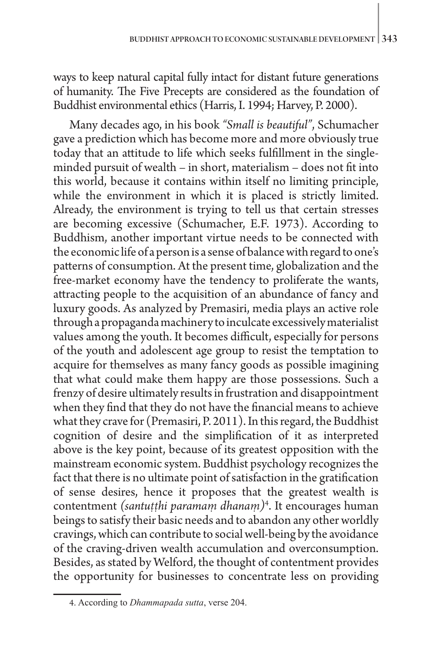ways to keep natural capital fully intact for distant future generations of humanity. The Five Precepts are considered as the foundation of Buddhist environmental ethics (Harris, I. 1994; Harvey, P. 2000).

Many decades ago, in his book *"Small is beautiful"*, Schumacher gave a prediction which has become more and more obviously true today that an attitude to life which seeks fulfillment in the singleminded pursuit of wealth – in short, materialism – does not fit into this world, because it contains within itself no limiting principle, while the environment in which it is placed is strictly limited. Already, the environment is trying to tell us that certain stresses are becoming excessive (Schumacher, E.F. 1973). According to Buddhism, another important virtue needs to be connected with the economic life of a person is a sense of balance with regard to one's patterns of consumption. At the present time, globalization and the free-market economy have the tendency to proliferate the wants, attracting people to the acquisition of an abundance of fancy and luxury goods. As analyzed by Premasiri, media plays an active role through a propaganda machinery to inculcate excessively materialist values among the youth. It becomes difficult, especially for persons of the youth and adolescent age group to resist the temptation to acquire for themselves as many fancy goods as possible imagining that what could make them happy are those possessions. Such a frenzy of desire ultimately results in frustration and disappointment when they find that they do not have the financial means to achieve what they crave for (Premasiri, P. 2011). In this regard, the Buddhist cognition of desire and the simplification of it as interpreted above is the key point, because of its greatest opposition with the mainstream economic system. Buddhist psychology recognizes the fact that there is no ultimate point of satisfaction in the gratification of sense desires, hence it proposes that the greatest wealth is contentment *(santuṭṭhi paramaṃ dhanaṃ)*<sup>4</sup> . It encourages human beings to satisfy their basic needs and to abandon any other worldly cravings, which can contribute to social well-being by the avoidance of the craving-driven wealth accumulation and overconsumption. Besides, as stated by Welford, the thought of contentment provides the opportunity for businesses to concentrate less on providing

<sup>4</sup>. According to *Dhammapada sutta*, verse 204.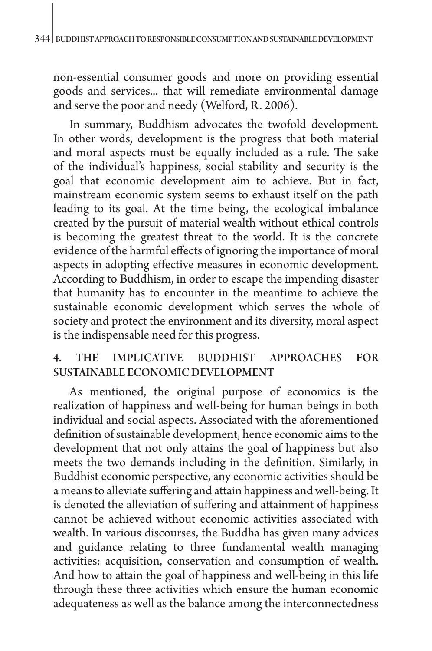non-essential consumer goods and more on providing essential goods and services... that will remediate environmental damage and serve the poor and needy (Welford, R. 2006).

In summary, Buddhism advocates the twofold development. In other words, development is the progress that both material and moral aspects must be equally included as a rule. The sake of the individual's happiness, social stability and security is the goal that economic development aim to achieve. But in fact, mainstream economic system seems to exhaust itself on the path leading to its goal. At the time being, the ecological imbalance created by the pursuit of material wealth without ethical controls is becoming the greatest threat to the world. It is the concrete evidence of the harmful effects of ignoring the importance of moral aspects in adopting effective measures in economic development. According to Buddhism, in order to escape the impending disaster that humanity has to encounter in the meantime to achieve the sustainable economic development which serves the whole of society and protect the environment and its diversity, moral aspect is the indispensable need for this progress.

# 4. THE IMPLICATIVE BUDDHIST APPROACHES FOR SUSTAINABLE ECONOMIC DEVELOPMENT

As mentioned, the original purpose of economics is the realization of happiness and well-being for human beings in both individual and social aspects. Associated with the aforementioned definition of sustainable development, hence economic aims to the development that not only attains the goal of happiness but also meets the two demands including in the definition. Similarly, in Buddhist economic perspective, any economic activities should be a means to alleviate suffering and attain happiness and well-being. It is denoted the alleviation of suffering and attainment of happiness cannot be achieved without economic activities associated with wealth. In various discourses, the Buddha has given many advices and guidance relating to three fundamental wealth managing activities: acquisition, conservation and consumption of wealth. And how to attain the goal of happiness and well-being in this life through these three activities which ensure the human economic adequateness as well as the balance among the interconnectedness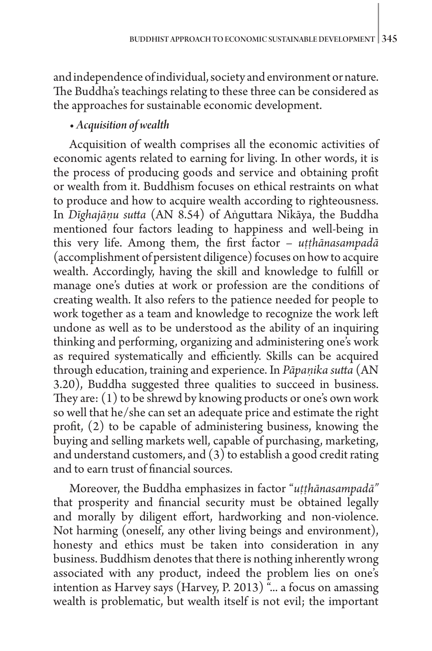and independence of individual, society and environment or nature. The Buddha's teachings relating to these three can be considered as the approaches for sustainable economic development.

# • *Acquisition of wealth*

Acquisition of wealth comprises all the economic activities of economic agents related to earning for living. In other words, it is the process of producing goods and service and obtaining profit or wealth from it. Buddhism focuses on ethical restraints on what to produce and how to acquire wealth according to righteousness. In *Dīghajāṇu sutta* (AN 8.54) of Aṅguttara Nikāya, the Buddha mentioned four factors leading to happiness and well-being in this very life. Among them, the first factor – *uṭṭhānasampadā* (accomplishment of persistent diligence) focuses on how to acquire wealth. Accordingly, having the skill and knowledge to fulfill or manage one's duties at work or profession are the conditions of creating wealth. It also refers to the patience needed for people to work together as a team and knowledge to recognize the work left undone as well as to be understood as the ability of an inquiring thinking and performing, organizing and administering one's work as required systematically and efficiently. Skills can be acquired through education, training and experience. In *Pāpaṇika sutta* (AN 3.20), Buddha suggested three qualities to succeed in business. They are: (1) to be shrewd by knowing products or one's own work so well that he/she can set an adequate price and estimate the right profit, (2) to be capable of administering business, knowing the buying and selling markets well, capable of purchasing, marketing, and understand customers, and (3) to establish a good credit rating and to earn trust of financial sources.

Moreover, the Buddha emphasizes in factor "*uṭṭhānasampadā"* that prosperity and financial security must be obtained legally and morally by diligent effort, hardworking and non-violence. Not harming (oneself, any other living beings and environment), honesty and ethics must be taken into consideration in any business. Buddhism denotes that there is nothing inherently wrong associated with any product, indeed the problem lies on one's intention as Harvey says (Harvey, P. 2013)<sup>"</sup>... a focus on amassing wealth is problematic, but wealth itself is not evil; the important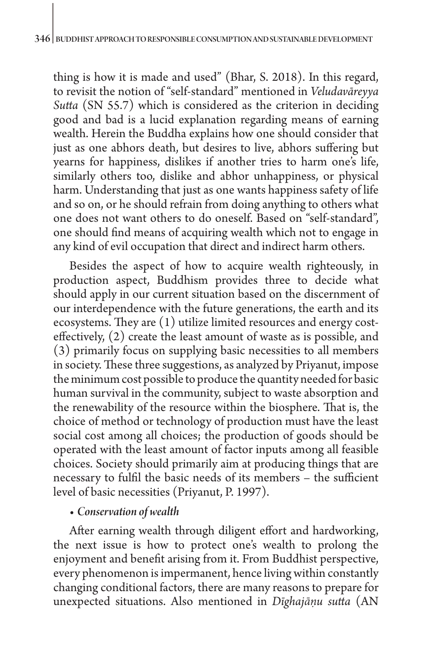thing is how it is made and used" (Bhar, S. 2018). In this regard, to revisit the notion of "self-standard" mentioned in *Veludavāreyya Sutta* (SN 55.7) which is considered as the criterion in deciding good and bad is a lucid explanation regarding means of earning wealth. Herein the Buddha explains how one should consider that just as one abhors death, but desires to live, abhors suffering but yearns for happiness, dislikes if another tries to harm one's life, similarly others too, dislike and abhor unhappiness, or physical harm. Understanding that just as one wants happiness safety of life and so on, or he should refrain from doing anything to others what one does not want others to do oneself. Based on "self-standard", one should find means of acquiring wealth which not to engage in any kind of evil occupation that direct and indirect harm others.

Besides the aspect of how to acquire wealth righteously, in production aspect, Buddhism provides three to decide what should apply in our current situation based on the discernment of our interdependence with the future generations, the earth and its ecosystems. They are (1) utilize limited resources and energy costeffectively, (2) create the least amount of waste as is possible, and (3) primarily focus on supplying basic necessities to all members in society. These three suggestions, as analyzed by Priyanut, impose the minimum cost possible to produce the quantity needed for basic human survival in the community, subject to waste absorption and the renewability of the resource within the biosphere. That is, the choice of method or technology of production must have the least social cost among all choices; the production of goods should be operated with the least amount of factor inputs among all feasible choices. Society should primarily aim at producing things that are necessary to fulfil the basic needs of its members – the sufficient level of basic necessities (Priyanut, P. 1997).

## • *Conservation of wealth*

After earning wealth through diligent effort and hardworking, the next issue is how to protect one's wealth to prolong the enjoyment and benefit arising from it. From Buddhist perspective, every phenomenon is impermanent, hence living within constantly changing conditional factors, there are many reasons to prepare for unexpected situations. Also mentioned in *Dīghajāṇu sutta* (AN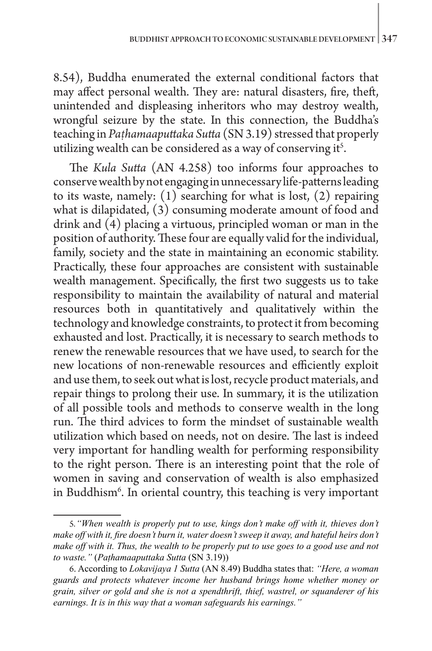8.54), Buddha enumerated the external conditional factors that may affect personal wealth. They are: natural disasters, fire, theft, unintended and displeasing inheritors who may destroy wealth, wrongful seizure by the state. In this connection, the Buddha's teaching in *Paṭhamaaputtaka Sutta* (SN 3.19) stressed that properly utilizing wealth can be considered as a way of conserving it<sup>5</sup>.

The *Kula Sutta* (AN 4.258) too informs four approaches to conserve wealth by not engaging in unnecessary life-patterns leading to its waste, namely: (1) searching for what is lost, (2) repairing what is dilapidated, (3) consuming moderate amount of food and drink and (4) placing a virtuous, principled woman or man in the position of authority. These four are equally valid for the individual, family, society and the state in maintaining an economic stability. Practically, these four approaches are consistent with sustainable wealth management. Specifically, the first two suggests us to take responsibility to maintain the availability of natural and material resources both in quantitatively and qualitatively within the technology and knowledge constraints, to protect it from becoming exhausted and lost. Practically, it is necessary to search methods to renew the renewable resources that we have used, to search for the new locations of non-renewable resources and efficiently exploit and use them, to seek out what is lost, recycle product materials, and repair things to prolong their use. In summary, it is the utilization of all possible tools and methods to conserve wealth in the long run. The third advices to form the mindset of sustainable wealth utilization which based on needs, not on desire. The last is indeed very important for handling wealth for performing responsibility to the right person. There is an interesting point that the role of women in saving and conservation of wealth is also emphasized in Buddhism6 . In oriental country, this teaching is very important

<sup>5</sup>*."When wealth is properly put to use, kings don't make off with it, thieves don't make off with it, fire doesn't burn it, water doesn't sweep it away, and hateful heirs don't make off with it. Thus, the wealth to be properly put to use goes to a good use and not to waste."* (*Paṭhamaaputtaka Sutta* (SN 3.19))

<sup>6</sup>. According to *Lokavijaya 1 Sutta* (AN 8.49) Buddha states that: *"Here, a woman guards and protects whatever income her husband brings home whether money or grain, silver or gold and she is not a spendthrift, thief, wastrel, or squanderer of his earnings. It is in this way that a woman safeguards his earnings."*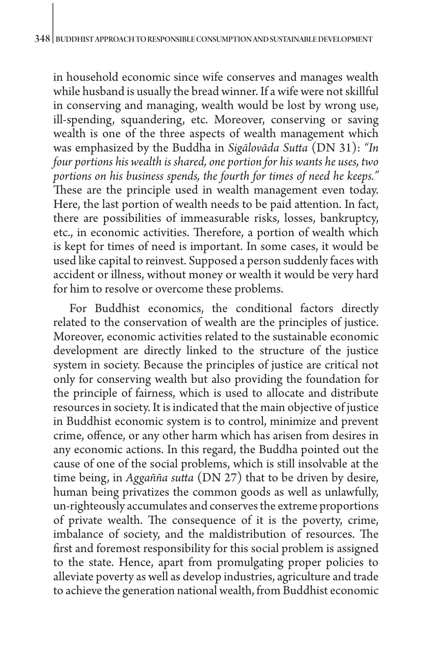in household economic since wife conserves and manages wealth while husband is usually the bread winner. If a wife were not skillful in conserving and managing, wealth would be lost by wrong use, ill-spending, squandering, etc. Moreover, conserving or saving wealth is one of the three aspects of wealth management which was emphasized by the Buddha in *Sigālovāda Sutta* (DN 31): *"In four portions his wealth is shared, one portion for his wants he uses, two portions on his business spends, the fourth for times of need he keeps."* These are the principle used in wealth management even today. Here, the last portion of wealth needs to be paid attention. In fact, there are possibilities of immeasurable risks, losses, bankruptcy, etc., in economic activities. Therefore, a portion of wealth which is kept for times of need is important. In some cases, it would be used like capital to reinvest. Supposed a person suddenly faces with accident or illness, without money or wealth it would be very hard for him to resolve or overcome these problems.

For Buddhist economics, the conditional factors directly related to the conservation of wealth are the principles of justice. Moreover, economic activities related to the sustainable economic development are directly linked to the structure of the justice system in society. Because the principles of justice are critical not only for conserving wealth but also providing the foundation for the principle of fairness, which is used to allocate and distribute resources in society. It is indicated that the main objective of justice in Buddhist economic system is to control, minimize and prevent crime, offence, or any other harm which has arisen from desires in any economic actions. In this regard, the Buddha pointed out the cause of one of the social problems, which is still insolvable at the time being, in *Aggañña sutta* (DN 27) that to be driven by desire, human being privatizes the common goods as well as unlawfully, un-righteously accumulates and conserves the extreme proportions of private wealth. The consequence of it is the poverty, crime, imbalance of society, and the maldistribution of resources. The first and foremost responsibility for this social problem is assigned to the state. Hence, apart from promulgating proper policies to alleviate poverty as well as develop industries, agriculture and trade to achieve the generation national wealth, from Buddhist economic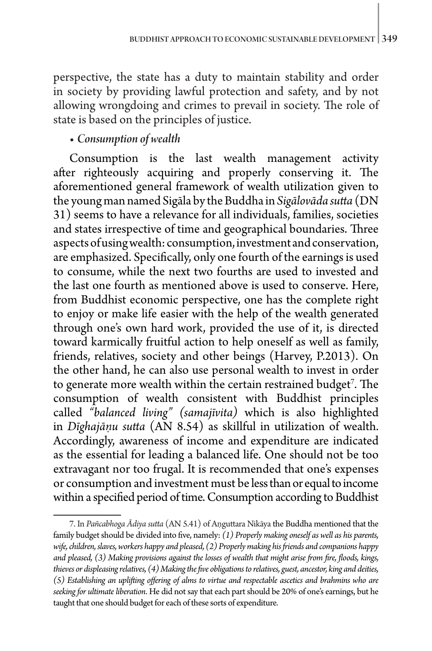perspective, the state has a duty to maintain stability and order in society by providing lawful protection and safety, and by not allowing wrongdoing and crimes to prevail in society. The role of state is based on the principles of justice.

## • *Consumption of wealth*

Consumption is the last wealth management activity after righteously acquiring and properly conserving it. The aforementioned general framework of wealth utilization given to the young man named Sigāla by the Buddha in *Sigālovāda sutta* (DN 31) seems to have a relevance for all individuals, families, societies and states irrespective of time and geographical boundaries. Three aspects of using wealth: consumption, investment and conservation, are emphasized. Specifically, only one fourth of the earnings is used to consume, while the next two fourths are used to invested and the last one fourth as mentioned above is used to conserve. Here, from Buddhist economic perspective, one has the complete right to enjoy or make life easier with the help of the wealth generated through one's own hard work, provided the use of it, is directed toward karmically fruitful action to help oneself as well as family, friends, relatives, society and other beings (Harvey, P.2013). On the other hand, he can also use personal wealth to invest in order to generate more wealth within the certain restrained budget<sup>7</sup>. The consumption of wealth consistent with Buddhist principles called *"balanced living" (samajīvita)* which is also highlighted in *Dīghajāṇu sutta* (AN 8.54) as skillful in utilization of wealth. Accordingly, awareness of income and expenditure are indicated as the essential for leading a balanced life. One should not be too extravagant nor too frugal. It is recommended that one's expenses or consumption and investment must be less than or equal to income within a specified period of time. Consumption according to Buddhist

<sup>7.</sup> In *Pañcabhoga Ādiya sutta* (AN 5.41) of Aṇguttara Nikāya the Buddha mentioned that the family budget should be divided into five, namely: *(1) Properly making oneself as well as his parents, wife, children, slaves, workers happy and pleased, (2) Properly making his friends and companions happy and pleased, (3) Making provisions against the losses of wealth that might arise from fire, floods, kings, thieves or displeasing relatives, (4) Making the five obligations to relatives, guest, ancestor, king and deities, (5) Establishing an uplifting offering of alms to virtue and respectable ascetics and brahmins who are seeking for ultimate liberation*. He did not say that each part should be 20% of one's earnings, but he taught that one should budget for each of these sorts of expenditure.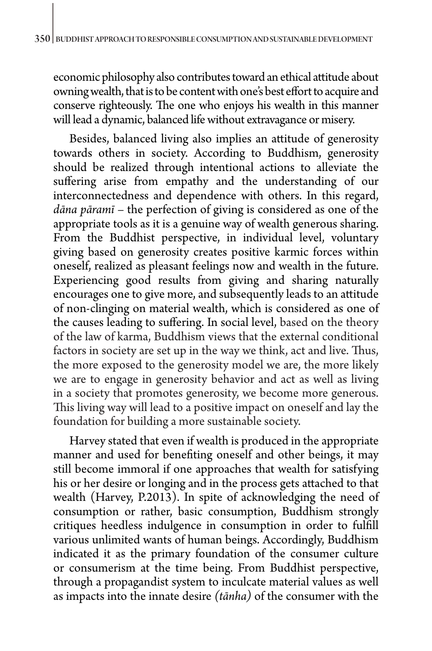economic philosophy also contributes toward an ethical attitude about owning wealth, that is to be content with one's best effort to acquire and conserve righteously. The one who enjoys his wealth in this manner will lead a dynamic, balanced life without extravagance or misery.

Besides, balanced living also implies an attitude of generosity towards others in society. According to Buddhism, generosity should be realized through intentional actions to alleviate the suffering arise from empathy and the understanding of our interconnectedness and dependence with others. In this regard, *dāna pāramī* – the perfection of giving is considered as one of the appropriate tools as it is a genuine way of wealth generous sharing. From the Buddhist perspective, in individual level, voluntary giving based on generosity creates positive karmic forces within oneself, realized as pleasant feelings now and wealth in the future. Experiencing good results from giving and sharing naturally encourages one to give more, and subsequently leads to an attitude of non-clinging on material wealth, which is considered as one of the causes leading to suffering. In social level, based on the theory of the law of karma, Buddhism views that the external conditional factors in society are set up in the way we think, act and live. Thus, the more exposed to the generosity model we are, the more likely we are to engage in generosity behavior and act as well as living in a society that promotes generosity, we become more generous. This living way will lead to a positive impact on oneself and lay the foundation for building a more sustainable society.

Harvey stated that even if wealth is produced in the appropriate manner and used for benefiting oneself and other beings, it may still become immoral if one approaches that wealth for satisfying his or her desire or longing and in the process gets attached to that wealth (Harvey, P.2013). In spite of acknowledging the need of consumption or rather, basic consumption, Buddhism strongly critiques heedless indulgence in consumption in order to fulfill various unlimited wants of human beings. Accordingly, Buddhism indicated it as the primary foundation of the consumer culture or consumerism at the time being. From Buddhist perspective, through a propagandist system to inculcate material values as well as impacts into the innate desire *(tānha)* of the consumer with the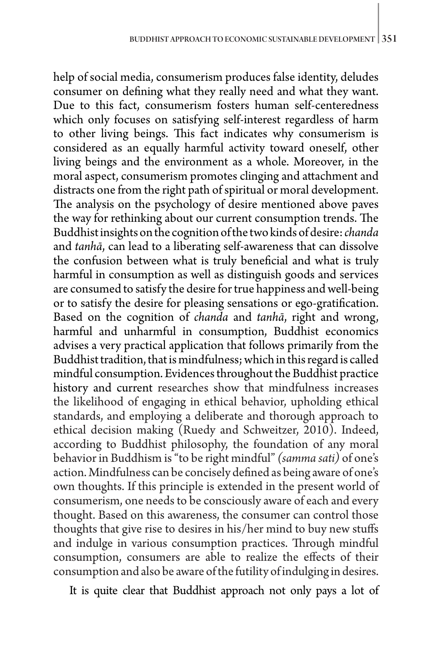help of social media, consumerism produces false identity, deludes consumer on defining what they really need and what they want. Due to this fact, consumerism fosters human self-centeredness which only focuses on satisfying self-interest regardless of harm to other living beings. This fact indicates why consumerism is considered as an equally harmful activity toward oneself, other living beings and the environment as a whole. Moreover, in the moral aspect, consumerism promotes clinging and attachment and distracts one from the right path of spiritual or moral development. The analysis on the psychology of desire mentioned above paves the way for rethinking about our current consumption trends. The Buddhist insights on the cognition of the two kinds of desire: *chanda* and *tanhā*, can lead to a liberating self-awareness that can dissolve the confusion between what is truly beneficial and what is truly harmful in consumption as well as distinguish goods and services are consumed to satisfy the desire for true happiness and well-being or to satisfy the desire for pleasing sensations or ego-gratification. Based on the cognition of *chanda* and *tanhā*, right and wrong, harmful and unharmful in consumption, Buddhist economics advises a very practical application that follows primarily from the Buddhist tradition, that is mindfulness; which in this regard is called mindful consumption. Evidences throughout the Buddhist practice history and current researches show that mindfulness increases the likelihood of engaging in ethical behavior, upholding ethical standards, and employing a deliberate and thorough approach to ethical decision making (Ruedy and Schweitzer, 2010). Indeed, according to Buddhist philosophy, the foundation of any moral behavior in Buddhism is "to be right mindful" *(samma sati)* of one's action. Mindfulness can be concisely defined as being aware of one's own thoughts. If this principle is extended in the present world of consumerism, one needs to be consciously aware of each and every thought. Based on this awareness, the consumer can control those thoughts that give rise to desires in his/her mind to buy new stuffs and indulge in various consumption practices. Through mindful consumption, consumers are able to realize the effects of their consumption and also be aware of the futility of indulging in desires.

It is quite clear that Buddhist approach not only pays a lot of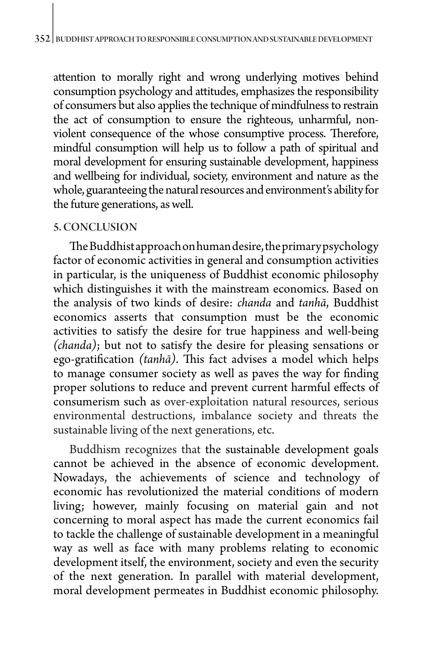attention to morally right and wrong underlying motives behind consumption psychology and attitudes, emphasizes the responsibility of consumers but also applies the technique of mindfulness to restrain the act of consumption to ensure the righteous, unharmful, nonviolent consequence of the whose consumptive process. Therefore, mindful consumption will help us to follow a path of spiritual and moral development for ensuring sustainable development, happiness and wellbeing for individual, society, environment and nature as the whole, guaranteeing the natural resources and environment's ability for the future generations, as well.

#### 5. CONCLUSION

The Buddhist approach on human desire, the primary psychology factor of economic activities in general and consumption activities in particular, is the uniqueness of Buddhist economic philosophy which distinguishes it with the mainstream economics. Based on the analysis of two kinds of desire: *chanda* and *tanhā*, Buddhist economics asserts that consumption must be the economic activities to satisfy the desire for true happiness and well-being *(chanda)*; but not to satisfy the desire for pleasing sensations or ego-gratification *(tanhā)*. This fact advises a model which helps to manage consumer society as well as paves the way for finding proper solutions to reduce and prevent current harmful effects of consumerism such as over-exploitation natural resources, serious environmental destructions, imbalance society and threats the sustainable living of the next generations, etc.

Buddhism recognizes that the sustainable development goals cannot be achieved in the absence of economic development. Nowadays, the achievements of science and technology of economic has revolutionized the material conditions of modern living; however, mainly focusing on material gain and not concerning to moral aspect has made the current economics fail to tackle the challenge of sustainable development in a meaningful way as well as face with many problems relating to economic development itself, the environment, society and even the security of the next generation. In parallel with material development, moral development permeates in Buddhist economic philosophy.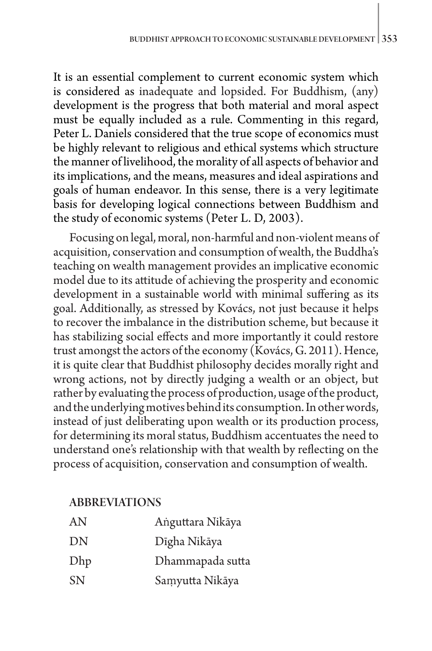It is an essential complement to current economic system which is considered as inadequate and lopsided. For Buddhism, (any) development is the progress that both material and moral aspect must be equally included as a rule. Commenting in this regard, Peter L. Daniels considered that the true scope of economics must be highly relevant to religious and ethical systems which structure the manner of livelihood, the morality of all aspects of behavior and its implications, and the means, measures and ideal aspirations and goals of human endeavor. In this sense, there is a very legitimate basis for developing logical connections between Buddhism and the study of economic systems (Peter L. D, 2003).

Focusing on legal, moral, non-harmful and non-violent means of acquisition, conservation and consumption of wealth, the Buddha's teaching on wealth management provides an implicative economic model due to its attitude of achieving the prosperity and economic development in a sustainable world with minimal suffering as its goal. Additionally, as stressed by Kovács, not just because it helps to recover the imbalance in the distribution scheme, but because it has stabilizing social effects and more importantly it could restore trust amongst the actors of the economy (Kovács, G. 2011). Hence, it is quite clear that Buddhist philosophy decides morally right and wrong actions, not by directly judging a wealth or an object, but rather by evaluating the process of production, usage of the product, and the underlying motives behind its consumption. In other words, instead of just deliberating upon wealth or its production process, for determining its moral status, Buddhism accentuates the need to understand one's relationship with that wealth by reflecting on the process of acquisition, conservation and consumption of wealth.

# ABBREVIATIONS

| AN        | Anguttara Nikāya |
|-----------|------------------|
| DN        | Dīgha Nikāya     |
| Dhp       | Dhammapada sutta |
| <b>SN</b> | Samyutta Nikāya  |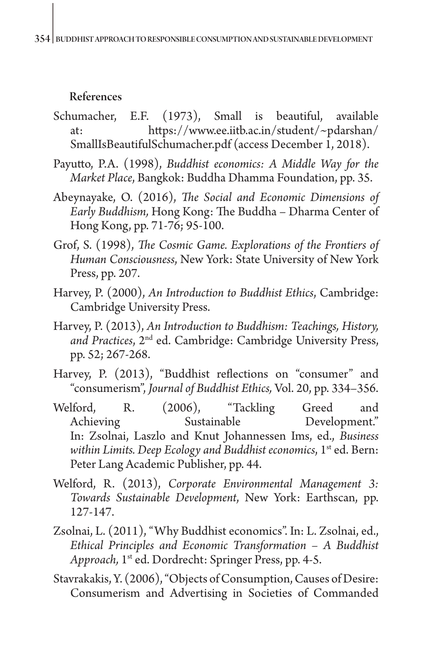## References

- Schumacher, E.F. (1973), Small is beautiful, available at: [https://www.ee.iitb.ac.in/student/~pdarshan/](https://www.ee.iitb.ac.in/student/~pdarshan/SmallIsBeautifulSchumacher.pdf) [SmallIsBeautifulSchumacher.pdf](https://www.ee.iitb.ac.in/student/~pdarshan/SmallIsBeautifulSchumacher.pdf) (access December 1, 2018).
- Payutto, P.A. (1998), *Buddhist economics: A Middle Way for the Market Place*, Bangkok: Buddha Dhamma Foundation, pp. 35.
- Abeynayake, O. (2016), *The Social and Economic Dimensions of Early Buddhism,* Hong Kong: The Buddha – Dharma Center of Hong Kong, pp. 71-76; 95-100.
- Grof, S. (1998), *The Cosmic Game. Explorations of the Frontiers of Human Consciousness*, New York: State University of New York Press, pp. 207.
- Harvey, P. (2000), *An Introduction to Buddhist Ethics*, Cambridge: Cambridge University Press.
- Harvey, P. (2013), *An Introduction to Buddhism: Teachings, History, and Practices*, 2nd ed. Cambridge: Cambridge University Press, pp. 52; 267-268.
- Harvey, P. (2013), "Buddhist reflections on "consumer" and "consumerism", *Journal of Buddhist Ethics,* Vol. 20, pp. 334–356.
- Welford, R. (2006), "Tackling Greed and Achieving Sustainable Development." In: Zsolnai, Laszlo and Knut Johannessen Ims, ed., *Business*  within Limits. Deep Ecology and Buddhist economics, 1<sup>st</sup> ed. Bern: Peter Lang Academic Publisher, pp. 44.
- Welford, R. (2013), *Corporate Environmental Management 3: Towards Sustainable Development*, New York: Earthscan, pp. 127-147.
- Zsolnai, L. (2011), "Why Buddhist economics". In: L. Zsolnai, ed., *Ethical Principles and Economic Transformation – A Buddhist Approach,* 1st ed. Dordrecht: Springer Press, pp. 4-5.
- Stavrakakis, Y. (2006), "Objects of Consumption, Causes of Desire: Consumerism and Advertising in Societies of Commanded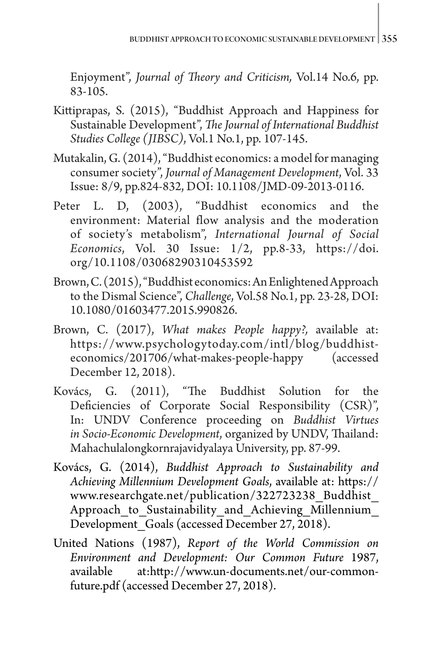Enjoyment", *Journal of Theory and Criticism,* Vol.14 No.6, pp. 83-105.

- Kittiprapas, S. (2015), "Buddhist Approach and Happiness for Sustainable Development", *The Journal of International Buddhist Studies College (JIBSC)*, Vol.1 No.1, pp. 107-145.
- Mutakalin, G. (2014), "Buddhist economics: a model for managing consumer society", *Journal of Management Development*, Vol. 33 Issue: 8/9, pp.824-832, DOI: 10.1108/JMD-09-2013-0116.
- Peter L. D, (2003), "Buddhist economics and the environment: Material flow analysis and the moderation of society's metabolism", *International Journal of Social Economics*, Vol. 30 Issue: 1/2, pp.8-33, [https://doi.](https://doi.org/10.1108/03068290310453592) [org/10.1108/03068290310453592](https://doi.org/10.1108/03068290310453592)
- Brown, C. (2015), "Buddhist economics: An Enlightened Approach to the Dismal Science", *Challenge*, Vol.58 No.1, pp. 23-28, DOI: 10.1080/01603477.2015.990826.
- Brown, C. (2017), *What makes People happy?,* available at: [https://www.psychologytoday.com/intl/blog/buddhist](https://www.psychologytoday.com/intl/blog/buddhist-economics/201706/what-makes-people-happy)[economics/201706/what-makes-people-happy](https://www.psychologytoday.com/intl/blog/buddhist-economics/201706/what-makes-people-happy) December 12, 2018).
- Kovács, G. (2011), "The Buddhist Solution for the Deficiencies of Corporate Social Responsibility (CSR)", In: UNDV Conference proceeding on *Buddhist Virtues in Socio-Economic Development*, organized by UNDV, Thailand: Mahachulalongkornrajavidyalaya University, pp. 87-99.
- Kovács, G. (2014), *Buddhist Approach to Sustainability and Achieving Millennium Development Goals*, available at: [https://](https://www.researchgate.net/publication/322723238_Buddhist_Approach_to_Sustainability_and_Achieving_Millennium_Development_Goals) [www.researchgate.net/publication/322723238\\_Buddhist\\_](https://www.researchgate.net/publication/322723238_Buddhist_Approach_to_Sustainability_and_Achieving_Millennium_Development_Goals) Approach to Sustainability and Achieving Millennium Development Goals (accessed December 27, 2018).
- United Nations (1987), *Report of the World Commission on Environment and Development: Our Common Future* 1987, available at[:http://www.un-documents.net/our-common](http://www.un-documents.net/our-common-future.pdf)[future.pdf](http://www.un-documents.net/our-common-future.pdf) (accessed December 27, 2018).